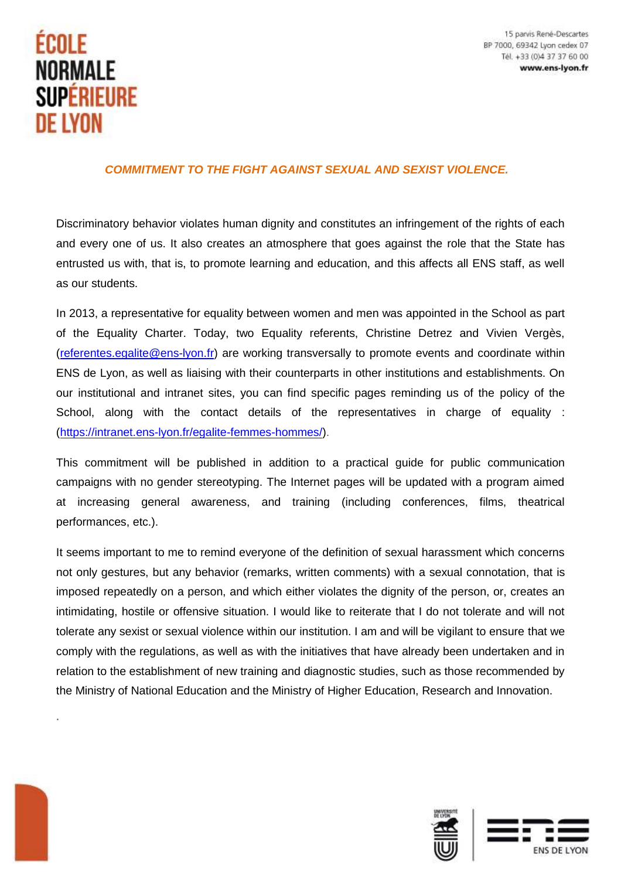

.

15 parvis René-Descartes BP 7000, 69342 Lyon cedex 07 Tél. +33 (0)4 37 37 60 00 www.ens-lvon.fr

## *COMMITMENT TO THE FIGHT AGAINST SEXUAL AND SEXIST VIOLENCE.*

Discriminatory behavior violates human dignity and constitutes an infringement of the rights of each and every one of us. It also creates an atmosphere that goes against the role that the State has entrusted us with, that is, to promote learning and education, and this affects all ENS staff, as well as our students.

In 2013, a representative for equality between women and men was appointed in the School as part of the Equality Charter. Today, two Equality referents, Christine Detrez and Vivien Vergès, [\(referentes.egalite@ens-lyon.fr\)](mailto:referentes.egalite@ens-lyon.fr) are working transversally to promote events and coordinate within ENS de Lyon, as well as liaising with their counterparts in other institutions and establishments. On our institutional and intranet sites, you can find specific pages reminding us of the policy of the School, along with the contact details of the representatives in charge of equality : [\(https://intranet.ens-lyon.fr/egalite-femmes-hommes/\)](https://intranet.ens-lyon.fr/egalite-femmes-hommes/).

This commitment will be published in addition to a practical guide for public communication campaigns with no gender stereotyping. The Internet pages will be updated with a program aimed at increasing general awareness, and training (including conferences, films, theatrical performances, etc.).

It seems important to me to remind everyone of the definition of sexual harassment which concerns not only gestures, but any behavior (remarks, written comments) with a sexual connotation, that is imposed repeatedly on a person, and which either violates the dignity of the person, or, creates an intimidating, hostile or offensive situation. I would like to reiterate that I do not tolerate and will not tolerate any sexist or sexual violence within our institution. I am and will be vigilant to ensure that we comply with the regulations, as well as with the initiatives that have already been undertaken and in relation to the establishment of new training and diagnostic studies, such as those recommended by the Ministry of National Education and the Ministry of Higher Education, Research and Innovation.